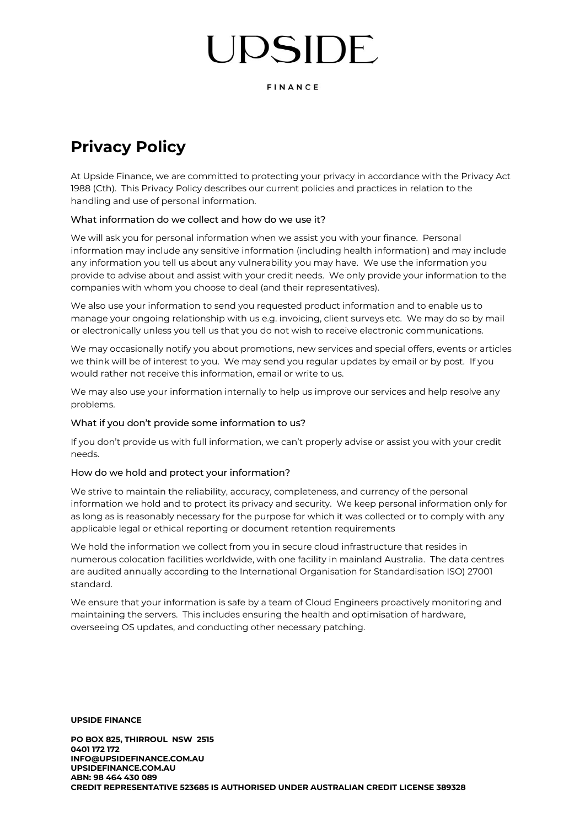# JPSIDE

FINANCE

### **Privacy Policy**

At Upside Finance, we are committed to protecting your privacy in accordance with the Privacy Act 1988 (Cth). This Privacy Policy describes our current policies and practices in relation to the handling and use of personal information.

#### What information do we collect and how do we use it?

We will ask you for personal information when we assist you with your finance. Personal information may include any sensitive information (including health information) and may include any information you tell us about any vulnerability you may have. We use the information you provide to advise about and assist with your credit needs. We only provide your information to the companies with whom you choose to deal (and their representatives).

We also use your information to send you requested product information and to enable us to manage your ongoing relationship with us e.g. invoicing, client surveys etc. We may do so by mail or electronically unless you tell us that you do not wish to receive electronic communications.

We may occasionally notify you about promotions, new services and special offers, events or articles we think will be of interest to you. We may send you regular updates by email or by post. If you would rather not receive this information, email or write to us.

We may also use your information internally to help us improve our services and help resolve any problems.

#### What if you don't provide some information to us?

If you don't provide us with full information, we can't properly advise or assist you with your credit needs.

#### How do we hold and protect your information?

We strive to maintain the reliability, accuracy, completeness, and currency of the personal information we hold and to protect its privacy and security. We keep personal information only for as long as is reasonably necessary for the purpose for which it was collected or to comply with any applicable legal or ethical reporting or document retention requirements

We hold the information we collect from you in secure cloud infrastructure that resides in numerous colocation facilities worldwide, with one facility in mainland Australia. The data centres are audited annually according to the International Organisation for Standardisation ISO) 27001 standard.

We ensure that your information is safe by a team of Cloud Engineers proactively monitoring and maintaining the servers. This includes ensuring the health and optimisation of hardware, overseeing OS updates, and conducting other necessary patching.

**UPSIDE FINANCE**

**PO BOX 825, THIRROUL NSW 2515 0401 172 172 [INFO@UPSIDEFINANCE.COM.AU](mailto:INFO@UPSIDEFINANCE.COM.AU) [UPSIDEFINANCE.COM.AU](http://www.upsidefinance.com.au/) ABN: 98 464 430 089 CREDIT REPRESENTATIVE 523685 IS AUTHORISED UNDER AUSTRALIAN CREDIT LICENSE 389328**